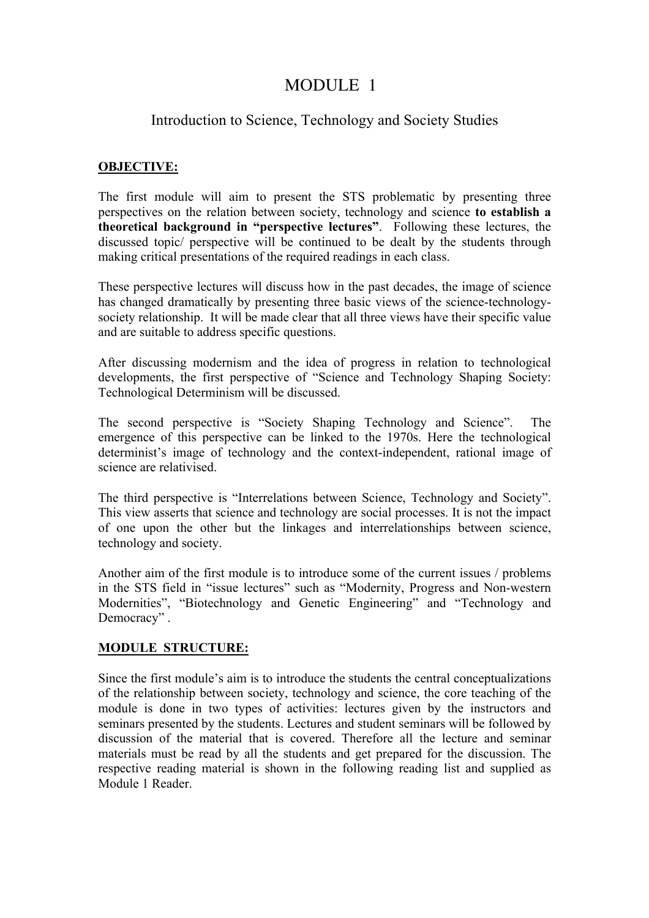# MODULE 1

## Introduction to Science, Technology and Society Studies

### **OBJECTIVE:**

The first module will aim to present the STS problematic by presenting three perspectives on the relation between society, technology and science **to establish a theoretical background in "perspective lectures"**. Following these lectures, the discussed topic/ perspective will be continued to be dealt by the students through making critical presentations of the required readings in each class.

These perspective lectures will discuss how in the past decades, the image of science has changed dramatically by presenting three basic views of the science-technologysociety relationship. It will be made clear that all three views have their specific value and are suitable to address specific questions.

After discussing modernism and the idea of progress in relation to technological developments, the first perspective of "Science and Technology Shaping Society: Technological Determinism will be discussed.

The second perspective is "Society Shaping Technology and Science". The emergence of this perspective can be linked to the 1970s. Here the technological determinist's image of technology and the context-independent, rational image of science are relativised.

The third perspective is "Interrelations between Science, Technology and Society". This view asserts that science and technology are social processes. It is not the impact of one upon the other but the linkages and interrelationships between science, technology and society.

Another aim of the first module is to introduce some of the current issues / problems in the STS field in "issue lectures" such as "Modernity, Progress and Non-western Modernities", "Biotechnology and Genetic Engineering" and "Technology and Democracy" .

#### **MODULE STRUCTURE:**

Since the first module's aim is to introduce the students the central conceptualizations of the relationship between society, technology and science, the core teaching of the module is done in two types of activities: lectures given by the instructors and seminars presented by the students. Lectures and student seminars will be followed by discussion of the material that is covered. Therefore all the lecture and seminar materials must be read by all the students and get prepared for the discussion. The respective reading material is shown in the following reading list and supplied as Module 1 Reader.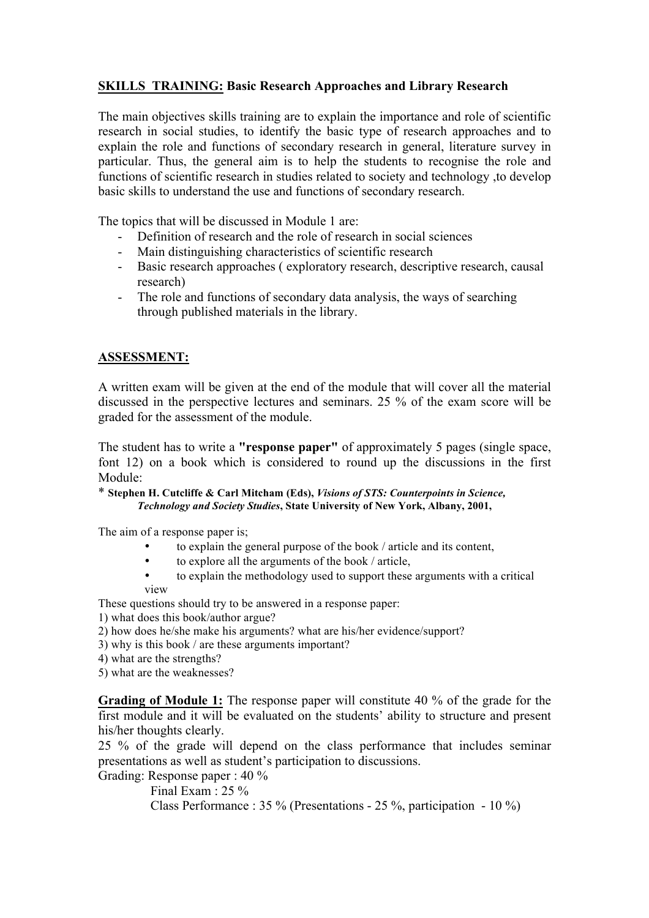### **SKILLS TRAINING: Basic Research Approaches and Library Research**

The main objectives skills training are to explain the importance and role of scientific research in social studies, to identify the basic type of research approaches and to explain the role and functions of secondary research in general, literature survey in particular. Thus, the general aim is to help the students to recognise the role and functions of scientific research in studies related to society and technology ,to develop basic skills to understand the use and functions of secondary research.

The topics that will be discussed in Module 1 are:

- Definition of research and the role of research in social sciences
- Main distinguishing characteristics of scientific research
- Basic research approaches ( exploratory research, descriptive research, causal research)
- The role and functions of secondary data analysis, the ways of searching through published materials in the library.

#### **ASSESSMENT:**

A written exam will be given at the end of the module that will cover all the material discussed in the perspective lectures and seminars. 25 % of the exam score will be graded for the assessment of the module.

The student has to write a **"response paper"** of approximately 5 pages (single space, font 12) on a book which is considered to round up the discussions in the first Module:

#### \* **Stephen H. Cutcliffe & Carl Mitcham (Eds),** *Visions of STS: Counterpoints in Science, Technology and Society Studies***, State University of New York, Albany, 2001,**

The aim of a response paper is;

- to explain the general purpose of the book / article and its content,
- to explore all the arguments of the book / article,
- to explain the methodology used to support these arguments with a critical

view

These questions should try to be answered in a response paper:

1) what does this book/author argue?

- 2) how does he/she make his arguments? what are his/her evidence/support?
- 3) why is this book / are these arguments important?
- 4) what are the strengths?
- 5) what are the weaknesses?

**Grading of Module 1:** The response paper will constitute 40 % of the grade for the first module and it will be evaluated on the students' ability to structure and present his/her thoughts clearly.

25 % of the grade will depend on the class performance that includes seminar presentations as well as student's participation to discussions.

Grading: Response paper : 40 %

 Final Exam : 25 % Class Performance : 35 % (Presentations - 25 %, participation - 10 %)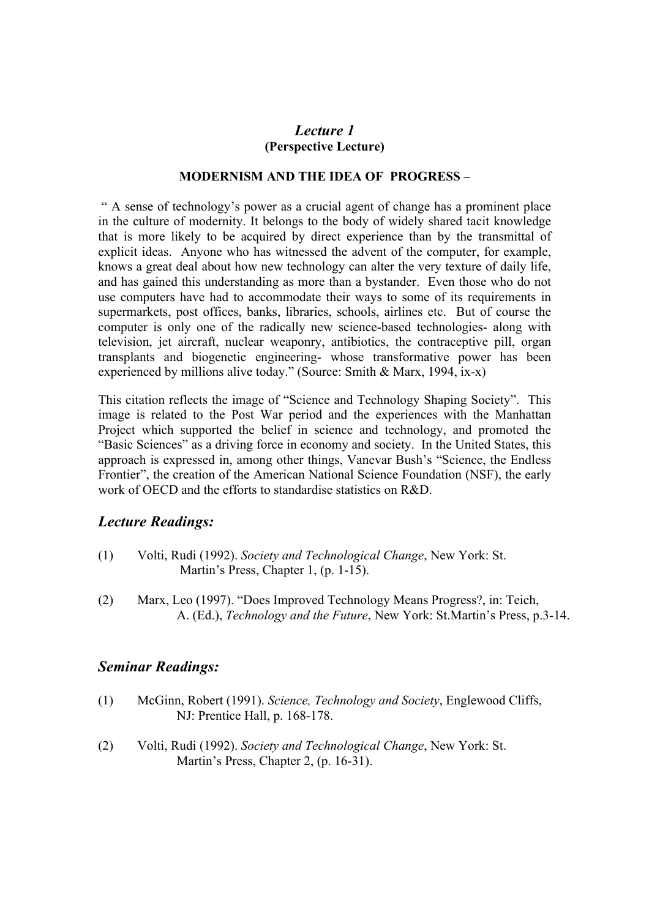### *Lecture 1* **(Perspective Lecture)**

#### **MODERNISM AND THE IDEA OF PROGRESS –**

" A sense of technology's power as a crucial agent of change has a prominent place in the culture of modernity. It belongs to the body of widely shared tacit knowledge that is more likely to be acquired by direct experience than by the transmittal of explicit ideas. Anyone who has witnessed the advent of the computer, for example, knows a great deal about how new technology can alter the very texture of daily life, and has gained this understanding as more than a bystander. Even those who do not use computers have had to accommodate their ways to some of its requirements in supermarkets, post offices, banks, libraries, schools, airlines etc. But of course the computer is only one of the radically new science-based technologies- along with television, jet aircraft, nuclear weaponry, antibiotics, the contraceptive pill, organ transplants and biogenetic engineering- whose transformative power has been experienced by millions alive today." (Source: Smith & Marx, 1994, ix-x)

This citation reflects the image of "Science and Technology Shaping Society". This image is related to the Post War period and the experiences with the Manhattan Project which supported the belief in science and technology, and promoted the "Basic Sciences" as a driving force in economy and society. In the United States, this approach is expressed in, among other things, Vanevar Bush's "Science, the Endless Frontier", the creation of the American National Science Foundation (NSF), the early work of OECD and the efforts to standardise statistics on R&D.

#### *Lecture Readings:*

- (1) Volti, Rudi (1992). *Society and Technological Change*, New York: St. Martin's Press, Chapter 1, (p. 1-15).
- (2) Marx, Leo (1997). "Does Improved Technology Means Progress?, in: Teich, A. (Ed.), *Technology and the Future*, New York: St.Martin's Press, p.3-14.

- (1) McGinn, Robert (1991). *Science, Technology and Society*, Englewood Cliffs, NJ: Prentice Hall, p. 168-178.
- (2) Volti, Rudi (1992). *Society and Technological Change*, New York: St. Martin's Press, Chapter 2, (p. 16-31).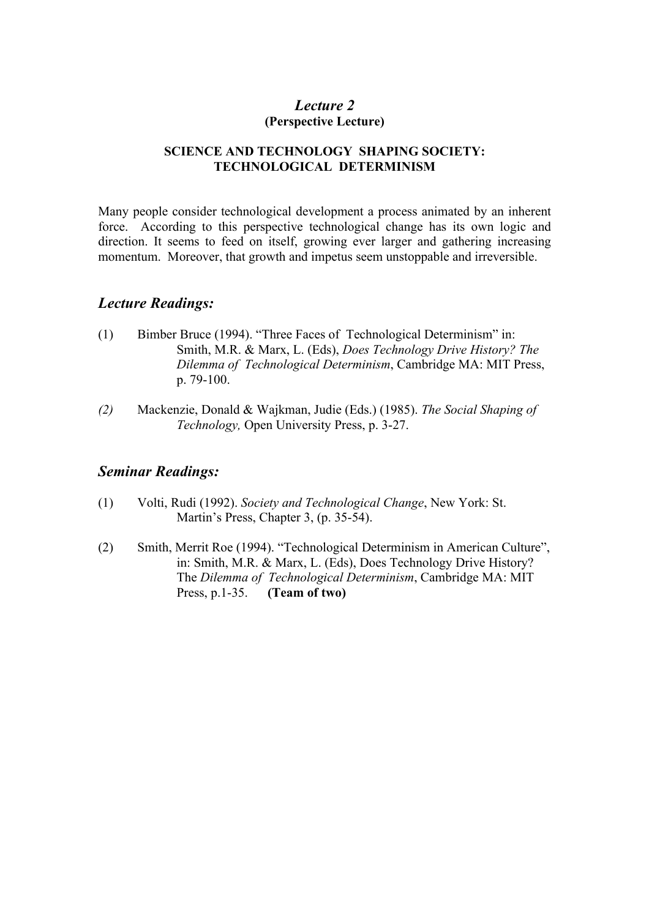### *Lecture 2* **(Perspective Lecture)**

#### **SCIENCE AND TECHNOLOGY SHAPING SOCIETY: TECHNOLOGICAL DETERMINISM**

Many people consider technological development a process animated by an inherent force. According to this perspective technological change has its own logic and direction. It seems to feed on itself, growing ever larger and gathering increasing momentum. Moreover, that growth and impetus seem unstoppable and irreversible.

### *Lecture Readings:*

- (1) Bimber Bruce (1994). "Three Faces of Technological Determinism" in: Smith, M.R. & Marx, L. (Eds), *Does Technology Drive History? The Dilemma of Technological Determinism*, Cambridge MA: MIT Press, p. 79-100.
- *(2)* Mackenzie, Donald & Wajkman, Judie (Eds.) (1985). *The Social Shaping of Technology,* Open University Press, p. 3-27.

- (1) Volti, Rudi (1992). *Society and Technological Change*, New York: St. Martin's Press, Chapter 3, (p. 35-54).
- (2) Smith, Merrit Roe (1994). "Technological Determinism in American Culture", in: Smith, M.R. & Marx, L. (Eds), Does Technology Drive History? The *Dilemma of Technological Determinism*, Cambridge MA: MIT Press, p.1-35. **(Team of two)**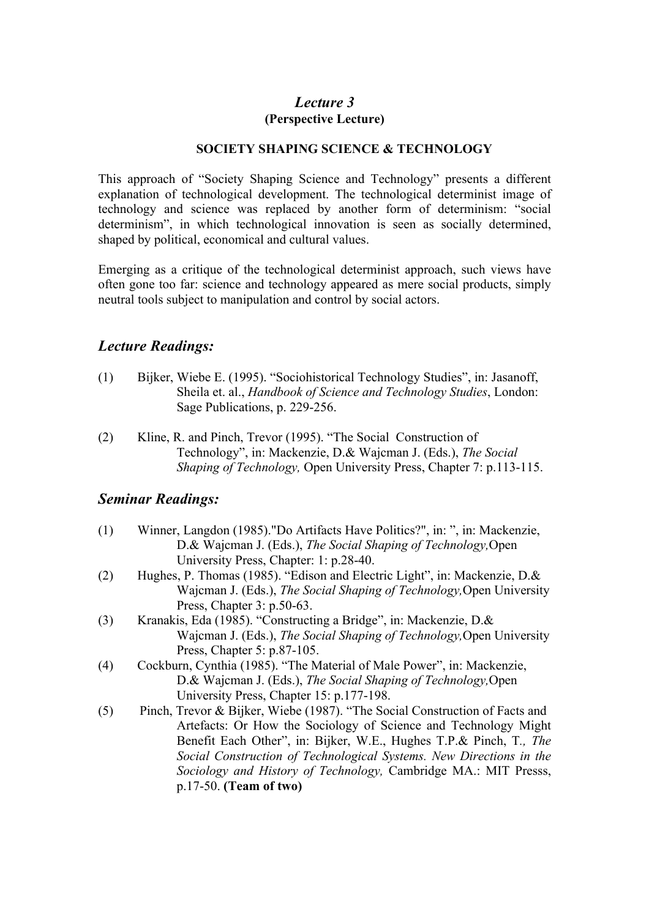## *Lecture 3* **(Perspective Lecture)**

#### **SOCIETY SHAPING SCIENCE & TECHNOLOGY**

This approach of "Society Shaping Science and Technology" presents a different explanation of technological development. The technological determinist image of technology and science was replaced by another form of determinism: "social determinism", in which technological innovation is seen as socially determined, shaped by political, economical and cultural values.

Emerging as a critique of the technological determinist approach, such views have often gone too far: science and technology appeared as mere social products, simply neutral tools subject to manipulation and control by social actors.

### *Lecture Readings:*

- (1) Bijker, Wiebe E. (1995). "Sociohistorical Technology Studies", in: Jasanoff, Sheila et. al., *Handbook of Science and Technology Studies*, London: Sage Publications, p. 229-256.
- (2) Kline, R. and Pinch, Trevor (1995). "The Social Construction of Technology", in: Mackenzie, D.& Wajcman J. (Eds.), *The Social Shaping of Technology,* Open University Press, Chapter 7: p.113-115.

- (1) Winner, Langdon (1985)."Do Artifacts Have Politics?", in: ", in: Mackenzie, D.& Wajcman J. (Eds.), *The Social Shaping of Technology,*Open University Press, Chapter: 1: p.28-40.
- (2) Hughes, P. Thomas (1985). "Edison and Electric Light", in: Mackenzie, D.& Wajcman J. (Eds.), *The Social Shaping of Technology,*Open University Press, Chapter 3: p.50-63.
- (3) Kranakis, Eda (1985). "Constructing a Bridge", in: Mackenzie, D.& Wajcman J. (Eds.), *The Social Shaping of Technology,*Open University Press, Chapter 5: p.87-105.
- (4) Cockburn, Cynthia (1985). "The Material of Male Power", in: Mackenzie, D.& Wajcman J. (Eds.), *The Social Shaping of Technology,*Open University Press, Chapter 15: p.177-198.
- (5) Pinch, Trevor & Bijker, Wiebe (1987). "The Social Construction of Facts and Artefacts: Or How the Sociology of Science and Technology Might Benefit Each Other", in: Bijker, W.E., Hughes T.P.& Pinch, T*., The Social Construction of Technological Systems. New Directions in the Sociology and History of Technology,* Cambridge MA.: MIT Presss, p.17-50. **(Team of two)**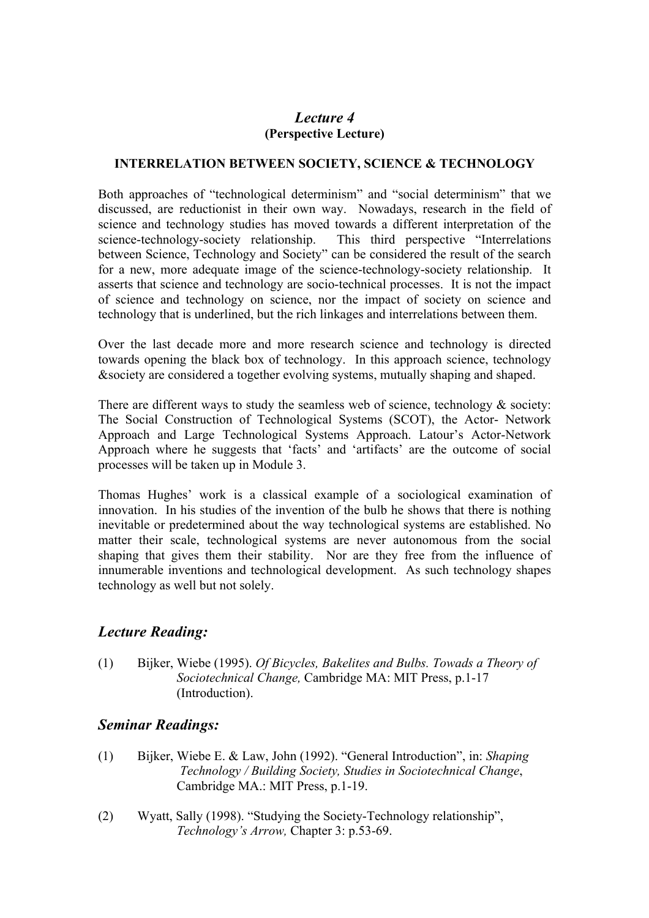## *Lecture 4* **(Perspective Lecture)**

#### **INTERRELATION BETWEEN SOCIETY, SCIENCE & TECHNOLOGY**

Both approaches of "technological determinism" and "social determinism" that we discussed, are reductionist in their own way. Nowadays, research in the field of science and technology studies has moved towards a different interpretation of the science-technology-society relationship. This third perspective "Interrelations between Science, Technology and Society" can be considered the result of the search for a new, more adequate image of the science-technology-society relationship. It asserts that science and technology are socio-technical processes. It is not the impact of science and technology on science, nor the impact of society on science and technology that is underlined, but the rich linkages and interrelations between them.

Over the last decade more and more research science and technology is directed towards opening the black box of technology. In this approach science, technology &society are considered a together evolving systems, mutually shaping and shaped.

There are different ways to study the seamless web of science, technology  $\&$  society: The Social Construction of Technological Systems (SCOT), the Actor- Network Approach and Large Technological Systems Approach. Latour's Actor-Network Approach where he suggests that 'facts' and 'artifacts' are the outcome of social processes will be taken up in Module 3.

Thomas Hughes' work is a classical example of a sociological examination of innovation. In his studies of the invention of the bulb he shows that there is nothing inevitable or predetermined about the way technological systems are established. No matter their scale, technological systems are never autonomous from the social shaping that gives them their stability. Nor are they free from the influence of innumerable inventions and technological development. As such technology shapes technology as well but not solely.

### *Lecture Reading:*

(1) Bijker, Wiebe (1995). *Of Bicycles, Bakelites and Bulbs. Towads a Theory of Sociotechnical Change,* Cambridge MA: MIT Press, p.1-17 (Introduction).

- (1) Bijker, Wiebe E. & Law, John (1992). "General Introduction", in: *Shaping Technology / Building Society, Studies in Sociotechnical Change*, Cambridge MA.: MIT Press, p.1-19.
- (2) Wyatt, Sally (1998). "Studying the Society-Technology relationship", *Technology's Arrow,* Chapter 3: p.53-69.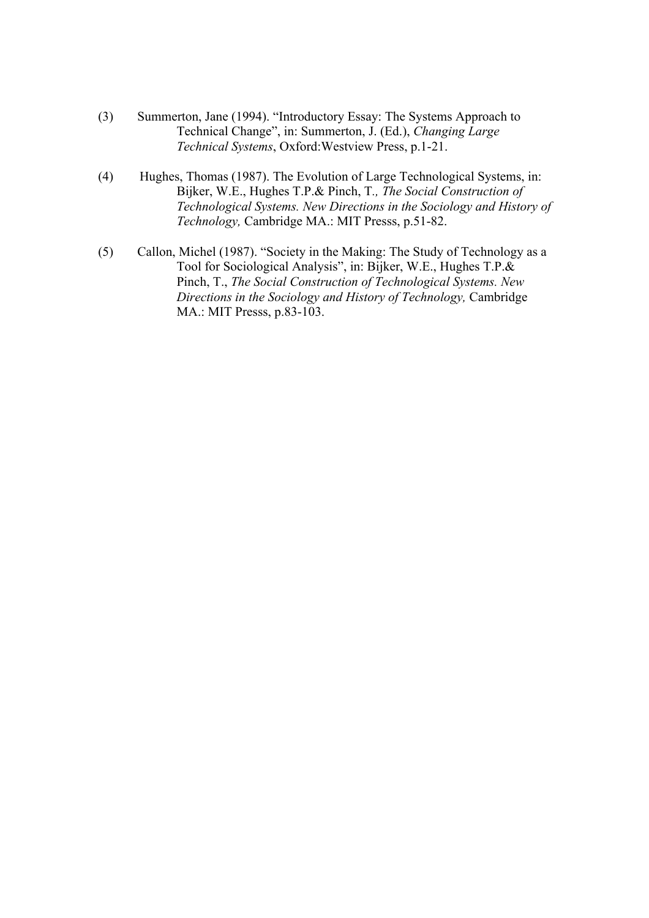- (3) Summerton, Jane (1994). "Introductory Essay: The Systems Approach to Technical Change", in: Summerton, J. (Ed.), *Changing Large Technical Systems*, Oxford:Westview Press, p.1-21.
- (4) Hughes, Thomas (1987). The Evolution of Large Technological Systems, in: Bijker, W.E., Hughes T.P.& Pinch, T*., The Social Construction of Technological Systems. New Directions in the Sociology and History of Technology,* Cambridge MA.: MIT Presss, p.51-82.
- (5) Callon, Michel (1987). "Society in the Making: The Study of Technology as a Tool for Sociological Analysis", in: Bijker, W.E., Hughes T.P.& Pinch, T., *The Social Construction of Technological Systems. New Directions in the Sociology and History of Technology,* Cambridge MA.: MIT Presss, p.83-103.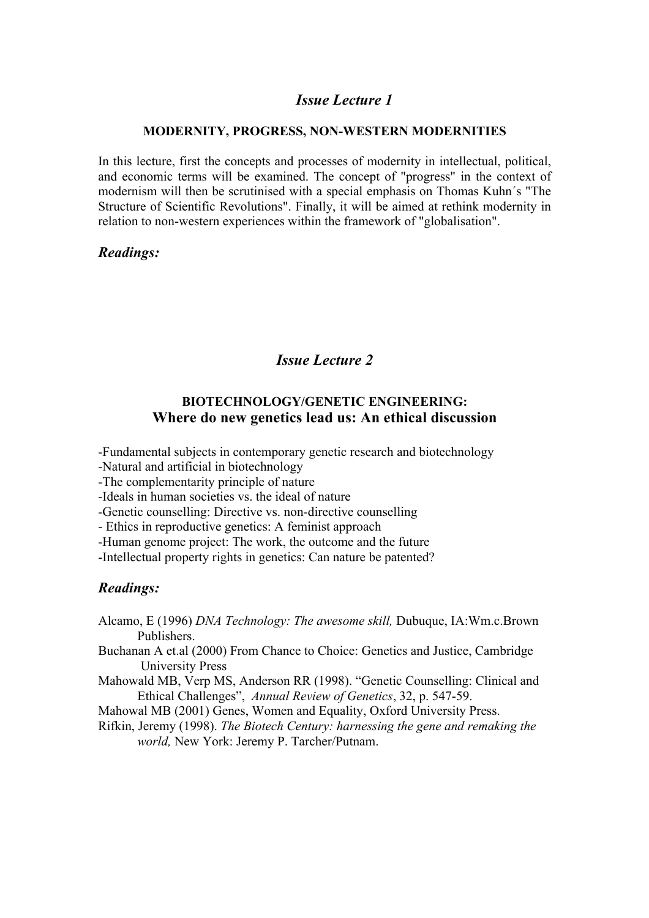### *Issue Lecture 1*

#### **MODERNITY, PROGRESS, NON-WESTERN MODERNITIES**

In this lecture, first the concepts and processes of modernity in intellectual, political, and economic terms will be examined. The concept of "progress" in the context of modernism will then be scrutinised with a special emphasis on Thomas Kuhn´s "The Structure of Scientific Revolutions". Finally, it will be aimed at rethink modernity in relation to non-western experiences within the framework of "globalisation".

### *Readings:*

## *Issue Lecture 2*

### **BIOTECHNOLOGY/GENETIC ENGINEERING: Where do new genetics lead us: An ethical discussion**

-Fundamental subjects in contemporary genetic research and biotechnology

-Natural and artificial in biotechnology

-The complementarity principle of nature

-Ideals in human societies vs. the ideal of nature

-Genetic counselling: Directive vs. non-directive counselling

- Ethics in reproductive genetics: A feminist approach

-Human genome project: The work, the outcome and the future

-Intellectual property rights in genetics: Can nature be patented?

### *Readings:*

- Alcamo, E (1996) *DNA Technology: The awesome skill,* Dubuque, IA:Wm.c.Brown Publishers.
- Buchanan A et.al (2000) From Chance to Choice: Genetics and Justice, Cambridge University Press
- Mahowald MB, Verp MS, Anderson RR (1998). "Genetic Counselling: Clinical and Ethical Challenges", *Annual Review of Genetics*, 32, p. 547-59.
- Mahowal MB (2001) Genes, Women and Equality, Oxford University Press.
- Rifkin, Jeremy (1998). *The Biotech Century: harnessing the gene and remaking the world,* New York: Jeremy P. Tarcher/Putnam.